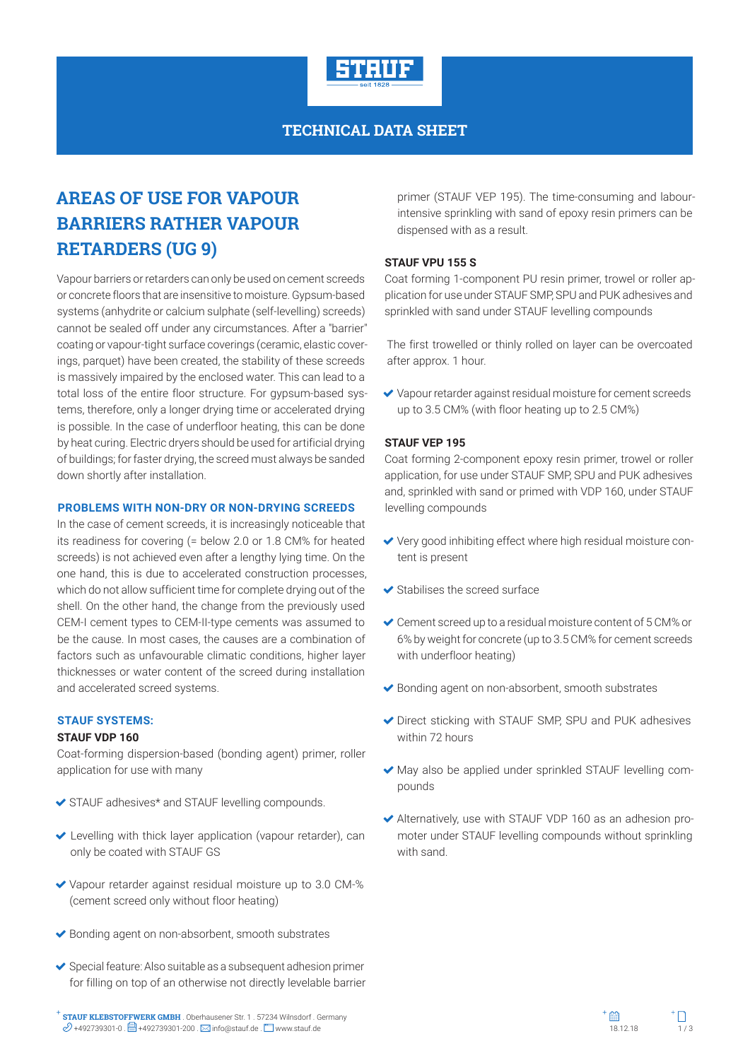

### **TECHNICAL DATA SHEET**

# **AREAS OF USE FOR VAPOUR BARRIERS RATHER VAPOUR RETARDERS (UG 9)**

Vapour barriers or retarders can only be used on cement screeds or concrete floors that are insensitive to moisture. Gypsum-based systems (anhydrite or calcium sulphate (self-levelling) screeds) cannot be sealed off under any circumstances. After a "barrier" coating or vapour-tight surface coverings (ceramic, elastic coverings, parquet) have been created, the stability of these screeds is massively impaired by the enclosed water. This can lead to a total loss of the entire floor structure. For gypsum-based systems, therefore, only a longer drying time or accelerated drying is possible. In the case of underfloor heating, this can be done by heat curing. Electric dryers should be used for artificial drying of buildings; for faster drying, the screed must always be sanded down shortly after installation.

#### **PROBLEMS WITH NON-DRY OR NON-DRYING SCREEDS**

In the case of cement screeds, it is increasingly noticeable that its readiness for covering (= below 2.0 or 1.8 CM% for heated screeds) is not achieved even after a lengthy lying time. On the one hand, this is due to accelerated construction processes, which do not allow sufficient time for complete drying out of the shell. On the other hand, the change from the previously used CEM-I cement types to CEM-II-type cements was assumed to be the cause. In most cases, the causes are a combination of factors such as unfavourable climatic conditions, higher layer thicknesses or water content of the screed during installation and accelerated screed systems.

#### **STAUF SYSTEMS:**

#### **STAUF VDP 160**

Coat-forming dispersion-based (bonding agent) primer, roller application for use with many

- ◆ STAUF adhesives\* and STAUF levelling compounds.
- Levelling with thick layer application (vapour retarder), can only be coated with STAUF GS
- Vapour retarder against residual moisture up to 3.0 CM-% (cement screed only without floor heating)
- ◆ Bonding agent on non-absorbent, smooth substrates
- $\blacktriangleright$  Special feature: Also suitable as a subsequent adhesion primer for filling on top of an otherwise not directly levelable barrier

primer (STAUF VEP 195). The time-consuming and labourintensive sprinkling with sand of epoxy resin primers can be dispensed with as a result.

#### **STAUF VPU 155 S**

Coat forming 1-component PU resin primer, trowel or roller application for use under STAUF SMP, SPU and PUK adhesives and sprinkled with sand under STAUF levelling compounds

The first trowelled or thinly rolled on layer can be overcoated after approx. 1 hour.

 Vapour retarder against residual moisture for cement screeds up to 3.5 CM% (with floor heating up to 2.5 CM%)

#### **STAUF VEP 195**

Coat forming 2-component epoxy resin primer, trowel or roller application, for use under STAUF SMP, SPU and PUK adhesives and, sprinkled with sand or primed with VDP 160, under STAUF levelling compounds

- Very good inhibiting effect where high residual moisture content is present
- Stabilises the screed surface
- Cement screed up to a residual moisture content of 5 CM% or 6% by weight for concrete (up to 3.5 CM% for cement screeds with underfloor heating)
- $\blacktriangleright$  Bonding agent on non-absorbent, smooth substrates
- ◆ Direct sticking with STAUF SMP, SPU and PUK adhesives within 72 hours
- May also be applied under sprinkled STAUF levelling compounds
- Alternatively, use with STAUF VDP 160 as an adhesion promoter under STAUF levelling compounds without sprinkling with sand.

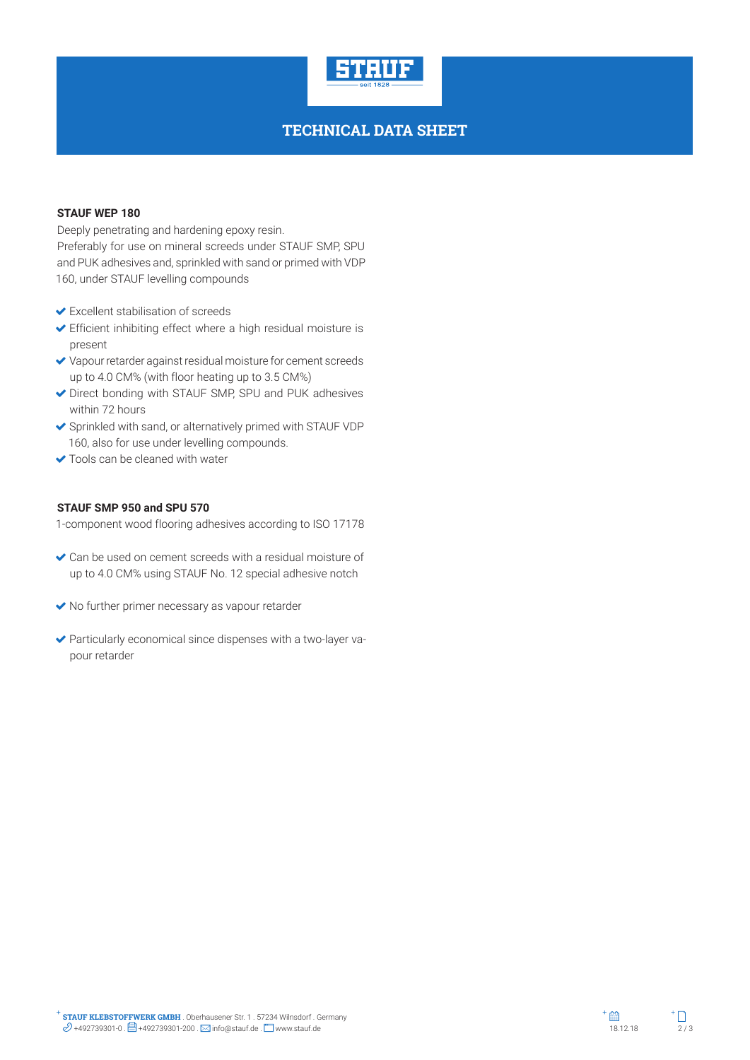

## **TECHNICAL DATA SHEET**

#### **STAUF WEP 180**

Deeply penetrating and hardening epoxy resin. Preferably for use on mineral screeds under STAUF SMP, SPU and PUK adhesives and, sprinkled with sand or primed with VDP 160, under STAUF levelling compounds

- Excellent stabilisation of screeds
- Efficient inhibiting effect where a high residual moisture is present
- Vapour retarder against residual moisture for cement screeds up to 4.0 CM% (with floor heating up to 3.5 CM%)
- Direct bonding with STAUF SMP, SPU and PUK adhesives within 72 hours
- Sprinkled with sand, or alternatively primed with STAUF VDP 160, also for use under levelling compounds.
- ◆ Tools can be cleaned with water

#### **STAUF SMP 950 and SPU 570**

1-component wood flooring adhesives according to ISO 17178

- Can be used on cement screeds with a residual moisture of up to 4.0 CM% using STAUF No. 12 special adhesive notch
- No further primer necessary as vapour retarder
- Particularly economical since dispenses with a two-layer vapour retarder